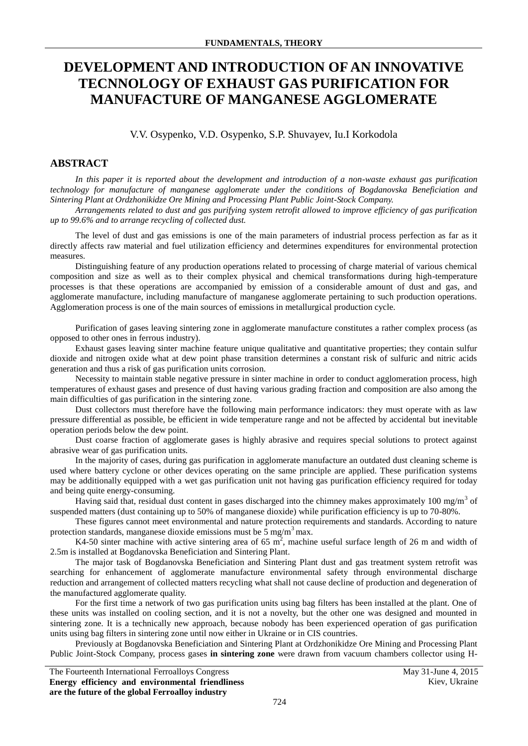# **DEVELOPMENT AND INTRODUCTION OF AN INNOVATIVE TECNNOLOGY OF EXHAUST GAS PURIFICATION FOR MANUFACTURE OF MANGANESE AGGLOMERATE**

V.V. Osypenko, V.D. Osypenko, S.P. Shuvayev, Iu.I Korkodola

### **ABSTRACT**

*In this paper it is reported about the development and introduction of a non-waste exhaust gas purification technology for manufacture of manganese agglomerate under the conditions of Bogdanovska Beneficiation and Sintering Plant at Ordzhonikidze Ore Mining and Processing Plant Public Joint-Stock Company.*

*Arrangements related to dust and gas purifying system retrofit allowed to improve efficiency of gas purification up to 99.6% and to arrange recycling of collected dust.*

The level of dust and gas emissions is one of the main parameters of industrial process perfection as far as it directly affects raw material and fuel utilization efficiency and determines expenditures for environmental protection measures.

Distinguishing feature of any production operations related to processing of charge material of various chemical composition and size as well as to their complex physical and chemical transformations during high-temperature processes is that these operations are accompanied by emission of a considerable amount of dust and gas, and agglomerate manufacture, including manufacture of manganese agglomerate pertaining to such production operations. Agglomeration process is one of the main sources of emissions in metallurgical production cycle.

Purification of gases leaving sintering zone in agglomerate manufacture constitutes a rather complex process (as opposed to other ones in ferrous industry).

Exhaust gases leaving sinter machine feature unique qualitative and quantitative properties; they contain sulfur dioxide and nitrogen oxide what at dew point phase transition determines a constant risk of sulfuric and nitric acids generation and thus a risk of gas purification units corrosion.

Necessity to maintain stable negative pressure in sinter machine in order to conduct agglomeration process, high temperatures of exhaust gases and presence of dust having various grading fraction and composition are also among the main difficulties of gas purification in the sintering zone.

Dust collectors must therefore have the following main performance indicators: they must operate with as law pressure differential as possible, be efficient in wide temperature range and not be affected by accidental but inevitable operation periods below the dew point.

Dust coarse fraction of agglomerate gases is highly abrasive and requires special solutions to protect against abrasive wear of gas purification units.

In the majority of cases, during gas purification in agglomerate manufacture an outdated dust cleaning scheme is used where battery cyclone or other devices operating on the same principle are applied. These purification systems may be additionally equipped with a wet gas purification unit not having gas purification efficiency required for today and being quite energy-consuming.

Having said that, residual dust content in gases discharged into the chimney makes approximately 100 mg/m<sup>3</sup> of suspended matters (dust containing up to 50% of manganese dioxide) while purification efficiency is up to 70-80%.

These figures cannot meet environmental and nature protection requirements and standards. According to nature protection standards, manganese dioxide emissions must be 5 mg/m<sup>3</sup> max.

K4-50 sinter machine with active sintering area of 65  $m^2$ , machine useful surface length of 26 m and width of 2.5m is installed at Bogdanovska Beneficiation and Sintering Plant.

The major task of Bogdanovska Beneficiation and Sintering Plant dust and gas treatment system retrofit was searching for enhancement of agglomerate manufacture environmental safety through environmental discharge reduction and arrangement of collected matters recycling what shall not cause decline of production and degeneration of the manufactured agglomerate quality.

For the first time a network of two gas purification units using bag filters has been installed at the plant. One of these units was installed on cooling section, and it is not a novelty, but the other one was designed and mounted in sintering zone. It is a technically new approach, because nobody has been experienced operation of gas purification units using bag filters in sintering zone until now either in Ukraine or in CIS countries.

Previously at Bogdanovska Beneficiation and Sintering Plant at Ordzhonikidze Ore Mining and Processing Plant Public Joint-Stock Company, process gases **in sintering zone** were drawn from vacuum chambers collector using Н-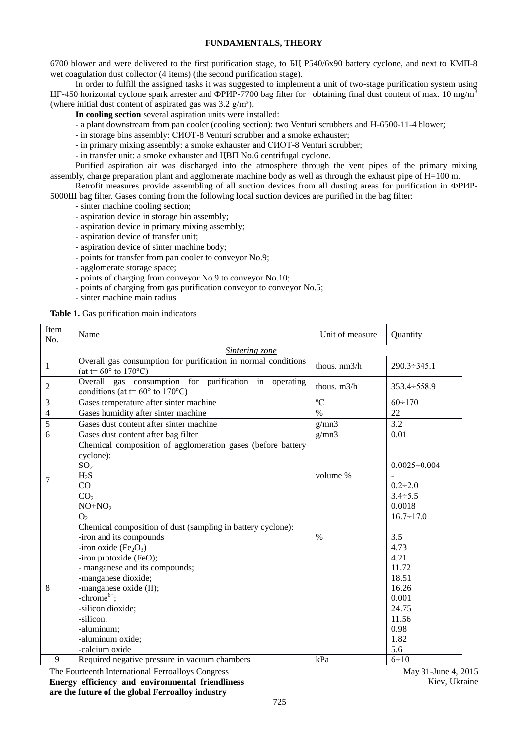6700 blower and were delivered to the first purification stage, to БЦ Р540/6х90 battery cyclone, and next to КМП-8 wet coagulation dust collector (4 items) (the second purification stage).

In order to fulfill the assigned tasks it was suggested to implement a unit of two-stage purification system using  $\text{LIT-450}$  horizontal cyclone spark arrester and  $\Phi$ PHP-7700 bag filter for obtaining final dust content of max. 10 mg/m<sup>3</sup> (where initial dust content of aspirated gas was  $3.2 \text{ g/m}^3$ ).

**In cooling section** several aspiration units were installed:

- a plant downstream from pan cooler (cooling section): two Venturi scrubbers and Н-6500-11-4 blower;
- in storage bins assembly: СИОТ-8 Venturi scrubber and a smoke exhauster;
- in primary mixing assembly: a smoke exhauster and СИОТ-8 Venturi scrubber;
- in transfer unit: a smoke exhauster and ЦВП No.6 centrifugal cyclone.

Purified aspiration air was discharged into the atmosphere through the vent pipes of the primary mixing assembly, charge preparation plant and agglomerate machine body as well as through the exhaust pipe of Н=100 m.

Retrofit measures provide assembling of all suction devices from all dusting areas for purification in ФРИР-5000Ш bag filter. Gases coming from the following local suction devices are purified in the bag filter:

- sinter machine cooling section;
- aspiration device in storage bin assembly;
- aspiration device in primary mixing assembly;
- aspiration device of transfer unit;
- aspiration device of sinter machine body;
- points for transfer from pan cooler to conveyor No.9;
- agglomerate storage space;
- points of charging from conveyor No.9 to conveyor No.10;
- points of charging from gas purification conveyor to conveyor No.5;
- sinter machine main radius

**Table 1.** Gas purification main indicators

| Item<br>No.                                                              | Name                                                                                                                                                                                                                                                                                                                                 | Unit of measure | Quantity                                                                                         |
|--------------------------------------------------------------------------|--------------------------------------------------------------------------------------------------------------------------------------------------------------------------------------------------------------------------------------------------------------------------------------------------------------------------------------|-----------------|--------------------------------------------------------------------------------------------------|
|                                                                          | Sintering zone                                                                                                                                                                                                                                                                                                                       |                 |                                                                                                  |
| $\mathbf{1}$                                                             | Overall gas consumption for purification in normal conditions<br>$(at = 60^{\circ} to 170^{\circ}C)$                                                                                                                                                                                                                                 | thous. nm3/h    | $290.3 \div 345.1$                                                                               |
| $\boldsymbol{2}$                                                         | Overall gas consumption for purification in operating<br>conditions (at t= $60^{\circ}$ to 170°C)                                                                                                                                                                                                                                    | thous. m3/h     | $353.4 \div 558.9$                                                                               |
| 3                                                                        | Gases temperature after sinter machine                                                                                                                                                                                                                                                                                               | $\overline{C}$  | $60 \div 170$                                                                                    |
| $\overline{4}$                                                           | Gases humidity after sinter machine                                                                                                                                                                                                                                                                                                  | $\overline{\%}$ | 22                                                                                               |
| $\overline{5}$                                                           | Gases dust content after sinter machine                                                                                                                                                                                                                                                                                              | g/mn3           | 3.2                                                                                              |
| 6                                                                        | Gases dust content after bag filter                                                                                                                                                                                                                                                                                                  | g/mn3           | 0.01                                                                                             |
| 7                                                                        | Chemical composition of agglomeration gases (before battery<br>cyclone):<br>SO <sub>2</sub><br>$H_2S$<br>CO<br>CO <sub>2</sub><br>$NO+NO2$<br>O <sub>2</sub>                                                                                                                                                                         | volume %        | $0.0025 \div 0.004$<br>$0.2 \div 2.0$<br>$3.4 \div 5.5$<br>0.0018<br>$16.7 \div 17.0$            |
| 8                                                                        | Chemical composition of dust (sampling in battery cyclone):<br>-iron and its compounds<br>-iron oxide $(Fe2O3)$<br>-iron protoxide (FeO);<br>- manganese and its compounds;<br>-manganese dioxide;<br>-manganese oxide (II);<br>-chrome $6+$ ;<br>-silicon dioxide;<br>-silicon;<br>-aluminum;<br>-aluminum oxide;<br>-calcium oxide | $\%$            | 3.5<br>4.73<br>4.21<br>11.72<br>18.51<br>16.26<br>0.001<br>24.75<br>11.56<br>0.98<br>1.82<br>5.6 |
| 9                                                                        | Required negative pressure in vacuum chambers                                                                                                                                                                                                                                                                                        | kPa             | $6 \div 10$                                                                                      |
| The Fourteenth International Ferroalloys Congress<br>May 31-June 4, 2015 |                                                                                                                                                                                                                                                                                                                                      |                 |                                                                                                  |

**Energy efficiency and environmental friendliness** 

Kiev, Ukraine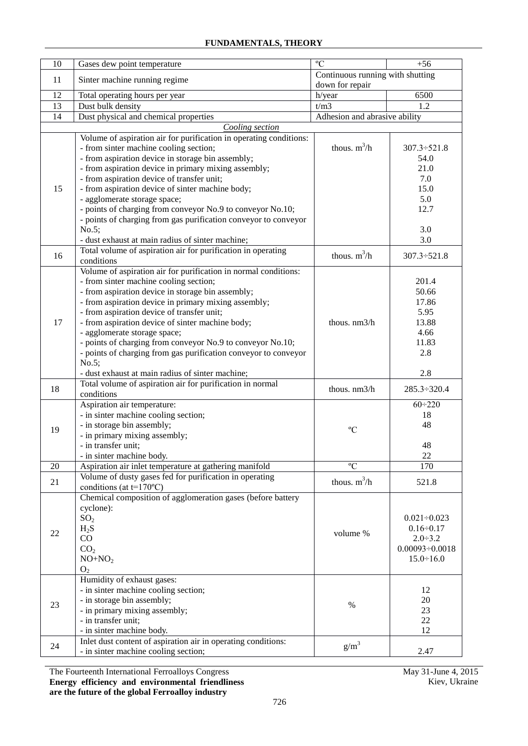### **FUNDAMENTALS, THEORY**

| 10 | Gases dew point temperature                                                                    | $\rm ^{o}C$                      | $+56$                                  |
|----|------------------------------------------------------------------------------------------------|----------------------------------|----------------------------------------|
| 11 |                                                                                                | Continuous running with shutting |                                        |
|    | Sinter machine running regime                                                                  | down for repair                  |                                        |
| 12 | Total operating hours per year                                                                 | h/year                           | 6500                                   |
| 13 | Dust bulk density                                                                              | t/m3                             | $\overline{1.2}$                       |
| 14 | Dust physical and chemical properties                                                          | Adhesion and abrasive ability    |                                        |
|    | Cooling section                                                                                |                                  |                                        |
|    | Volume of aspiration air for purification in operating conditions:                             |                                  |                                        |
|    | - from sinter machine cooling section;                                                         | thous. $m^3/h$                   | $307.3 \div 521.8$                     |
|    | - from aspiration device in storage bin assembly;                                              |                                  | 54.0                                   |
|    | - from aspiration device in primary mixing assembly;                                           |                                  | 21.0                                   |
|    | - from aspiration device of transfer unit;                                                     |                                  | 7.0                                    |
| 15 | - from aspiration device of sinter machine body;                                               |                                  | 15.0                                   |
|    | - agglomerate storage space;                                                                   |                                  | 5.0                                    |
|    | - points of charging from conveyor No.9 to conveyor No.10;                                     |                                  | 12.7                                   |
|    | - points of charging from gas purification conveyor to conveyor                                |                                  |                                        |
|    | No.5;                                                                                          |                                  | 3.0                                    |
|    | - dust exhaust at main radius of sinter machine;                                               |                                  | 3.0                                    |
| 16 | Total volume of aspiration air for purification in operating                                   | thous. $m^3/h$                   | $307.3 \div 521.8$                     |
|    | conditions                                                                                     |                                  |                                        |
|    | Volume of aspiration air for purification in normal conditions:                                |                                  |                                        |
|    | - from sinter machine cooling section;                                                         |                                  | 201.4<br>50.66                         |
|    | - from aspiration device in storage bin assembly;                                              |                                  |                                        |
|    | - from aspiration device in primary mixing assembly;                                           |                                  | 17.86<br>5.95                          |
| 17 | - from aspiration device of transfer unit;<br>- from aspiration device of sinter machine body; | thous. nm3/h                     | 13.88                                  |
|    |                                                                                                |                                  | 4.66                                   |
|    | - agglomerate storage space;<br>- points of charging from conveyor No.9 to conveyor No.10;     |                                  | 11.83                                  |
|    | - points of charging from gas purification conveyor to conveyor                                |                                  | 2.8                                    |
|    | No.5;                                                                                          |                                  |                                        |
|    | - dust exhaust at main radius of sinter machine;                                               |                                  | 2.8                                    |
|    | Total volume of aspiration air for purification in normal                                      |                                  |                                        |
| 18 | conditions                                                                                     | thous. nm3/h                     | $285.3 \div 320.4$                     |
|    | Aspiration air temperature:                                                                    |                                  | $60 - 220$                             |
|    | - in sinter machine cooling section;                                                           |                                  | 18                                     |
| 19 | - in storage bin assembly;                                                                     | $\rm ^{o}C$                      | 48                                     |
|    | - in primary mixing assembly;                                                                  |                                  |                                        |
|    | - in transfer unit;                                                                            |                                  | 48                                     |
|    | - in sinter machine body.                                                                      |                                  | 22                                     |
| 20 | Aspiration air inlet temperature at gathering manifold                                         | $\overline{C}$                   | 170                                    |
| 21 | Volume of dusty gases fed for purification in operating                                        | thous. $m^3/h$                   | 521.8                                  |
|    | conditions (at $t=170^{\circ}C$ )                                                              |                                  |                                        |
|    | Chemical composition of agglomeration gases (before battery                                    |                                  |                                        |
|    | cyclone):                                                                                      |                                  |                                        |
|    | SO <sub>2</sub>                                                                                |                                  | $0.021 \div 0.023$<br>$0.16 \div 0.17$ |
| 22 | $H_2S$<br>CO                                                                                   | volume %                         | $2.0 \div 3.2$                         |
|    | CO <sub>2</sub>                                                                                |                                  | $0.00093 \div 0.0018$                  |
|    | $NO+NO2$                                                                                       |                                  | $15.0 \div 16.0$                       |
|    | O <sub>2</sub>                                                                                 |                                  |                                        |
|    | Humidity of exhaust gases:                                                                     |                                  |                                        |
|    | - in sinter machine cooling section;                                                           |                                  | 12                                     |
|    | - in storage bin assembly;                                                                     |                                  | $20\,$                                 |
| 23 | - in primary mixing assembly;                                                                  | $\%$                             | 23                                     |
|    | - in transfer unit;                                                                            |                                  | 22                                     |
|    | - in sinter machine body.                                                                      |                                  | 12                                     |
|    | Inlet dust content of aspiration air in operating conditions:                                  |                                  |                                        |
| 24 | - in sinter machine cooling section;                                                           | $g/m^3$                          | 2.47                                   |
|    |                                                                                                |                                  |                                        |

The Fourteenth International Ferroalloys Congress May 31-June 4, 2015 **Energy efficiency and environmental friendliness are the future of the global Ferroalloy industry**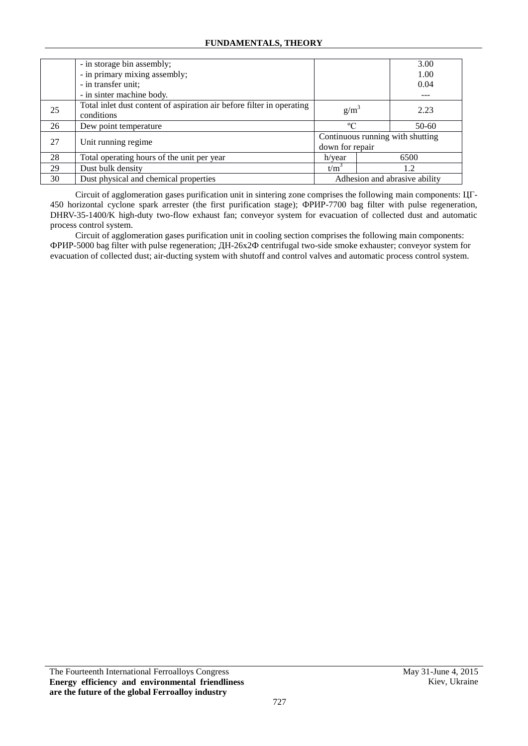### **FUNDAMENTALS, THEORY**

|    | - in storage bin assembly;                                            |                                  | 3.00  |  |
|----|-----------------------------------------------------------------------|----------------------------------|-------|--|
|    | - in primary mixing assembly;                                         |                                  | 1.00  |  |
|    | - in transfer unit;                                                   |                                  | 0.04  |  |
|    | - in sinter machine body.                                             |                                  |       |  |
| 25 | Total inlet dust content of aspiration air before filter in operating | $g/m^3$                          | 2.23  |  |
|    | conditions                                                            |                                  |       |  |
| 26 | Dew point temperature                                                 | $\rm ^{o}C$                      | 50-60 |  |
|    |                                                                       | Continuous running with shutting |       |  |
| 27 | Unit running regime                                                   | down for repair                  |       |  |
| 28 | Total operating hours of the unit per year                            | $h$ /year                        | 6500  |  |
| 29 | Dust bulk density                                                     | $t/m^2$                          | 1.2   |  |
| 30 | Dust physical and chemical properties                                 | Adhesion and abrasive ability    |       |  |

Circuit of agglomeration gases purification unit in sintering zone comprises the following main components: ЦГ-450 horizontal cyclone spark arrester (the first purification stage); ФРИР-7700 bag filter with pulse regeneration, DHRV-35-1400/K high-duty two-flow exhaust fan; conveyor system for evacuation of collected dust and automatic process control system.

Circuit of agglomeration gases purification unit in cooling section comprises the following main components: ФРИР-5000 bag filter with pulse regeneration; ДН-26х2Ф centrifugal two-side smoke exhauster; conveyor system for evacuation of collected dust; air-ducting system with shutoff and control valves and automatic process control system.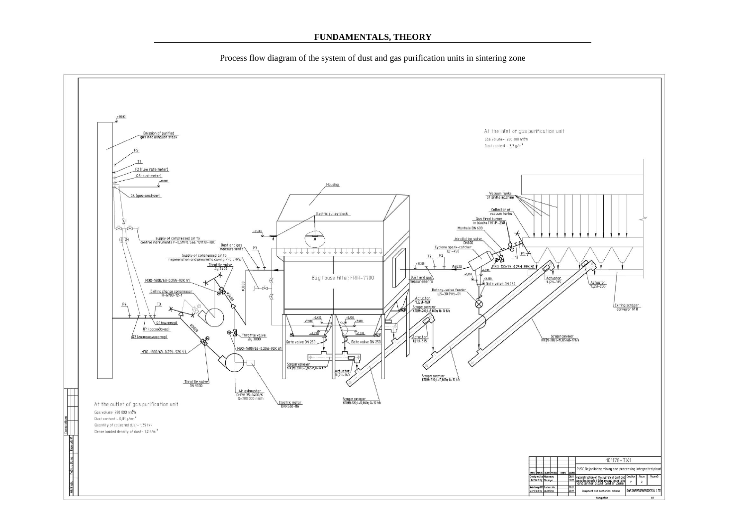#### **FUNDAMENTALS, THEORY**



Process flow diagram of the system of dust and gas purification units in sintering zone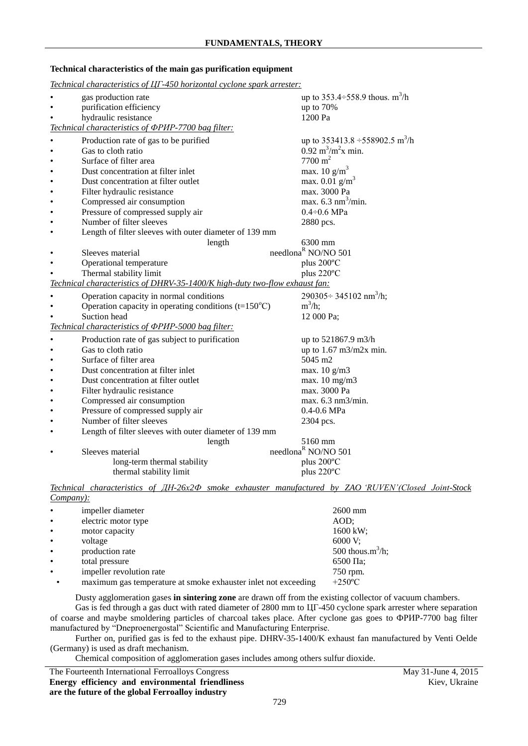### **Technical characteristics of the main gas purification equipment**

*Technical characteristics of ЦГ-450 horizontal cyclone spark arrester:*

|           | gas production rate<br>purification efficiency                              | up to 353.4÷558.9 thous. $m^3/h$<br>up to $70%$                                                                       |
|-----------|-----------------------------------------------------------------------------|-----------------------------------------------------------------------------------------------------------------------|
|           | hydraulic resistance                                                        | 1200 Pa                                                                                                               |
|           | Technical characteristics of ΦPIIP-7700 bag filter:                         |                                                                                                                       |
|           | Production rate of gas to be purified                                       | up to $353413.8 \div 558902.5 \text{ m}^3/\text{h}$                                                                   |
|           | Gas to cloth ratio                                                          | $0.92 \text{ m}^3/\text{m}^2 \text{x} \text{ min.}$                                                                   |
|           | Surface of filter area                                                      | $7700 \text{ m}^2$                                                                                                    |
|           | Dust concentration at filter inlet                                          | max. 10 $g/m3$                                                                                                        |
|           | Dust concentration at filter outlet                                         | max. 0.01 $g/m^3$                                                                                                     |
| ٠         | Filter hydraulic resistance                                                 | max. 3000 Pa                                                                                                          |
|           | Compressed air consumption                                                  | max. $6.3 \text{ nm}^3/\text{min}$ .                                                                                  |
| ٠         | Pressure of compressed supply air                                           | $0.4 \div 0.6$ MPa                                                                                                    |
|           | Number of filter sleeves                                                    | 2880 pcs.                                                                                                             |
|           | Length of filter sleeves with outer diameter of 139 mm                      |                                                                                                                       |
|           | length                                                                      | 6300 mm                                                                                                               |
|           | Sleeves material                                                            | needlona <sup>R</sup> NO/NO 501                                                                                       |
|           | Operational temperature                                                     | plus 200°C                                                                                                            |
|           | Thermal stability limit                                                     | plus 220°C                                                                                                            |
|           | Technical characteristics of DHRV-35-1400/K high-duty two-flow exhaust fan: |                                                                                                                       |
|           | Operation capacity in normal conditions                                     | $290305 \div 345102$ nm <sup>3</sup> /h;                                                                              |
|           | Operation capacity in operating conditions $(t=150^{\circ}C)$               | $m^3/h$ ;                                                                                                             |
|           | Suction head                                                                | 12 000 Pa;                                                                                                            |
|           | Technical characteristics of <b>PPIP-5000</b> bag filter:                   |                                                                                                                       |
|           | Production rate of gas subject to purification                              | up to 521867.9 m3/h                                                                                                   |
|           | Gas to cloth ratio                                                          | up to $1.67$ m $3/m2x$ min.                                                                                           |
|           | Surface of filter area                                                      | 5045 m2                                                                                                               |
| $\bullet$ | Dust concentration at filter inlet                                          | max. $10 \text{ g/m}$ 3                                                                                               |
| ٠         | Dust concentration at filter outlet                                         | max. $10 \text{ mg/m}$ 3                                                                                              |
| $\bullet$ | Filter hydraulic resistance                                                 | max. 3000 Pa                                                                                                          |
| $\bullet$ | Compressed air consumption                                                  | max. 6.3 nm3/min.                                                                                                     |
| $\bullet$ | Pressure of compressed supply air                                           | 0.4-0.6 MPa                                                                                                           |
|           | Number of filter sleeves                                                    | 2304 pcs.                                                                                                             |
|           | Length of filter sleeves with outer diameter of 139 mm                      |                                                                                                                       |
|           | length                                                                      | 5160 mm                                                                                                               |
| ٠         | Sleeves material                                                            | needlona <sup>R</sup> NO/NO 501                                                                                       |
|           | long-term thermal stability                                                 | plus 200°C                                                                                                            |
|           | thermal stability limit                                                     | plus 220°C                                                                                                            |
|           |                                                                             | Technical characteristics of $\overline{A}H-26x2\Phi$ smoke exhauster manufactured by ZAO 'RUVEN' (Closed Joint-Stock |

*Company):* impeller diameter 2600 mm<br>
electric motor type 40D: electric motor type <br>
motor capacity 1600 kW;<br>
1600 kW; • motor capacity 1600 kW<br>voltage 6000 V; • voltage 6000 V; production rate 500 thous. $m^3/h$ : • total pressure 6500 Па;

impeller revolution rate 750 rpm.

• maximum gas temperature at smoke exhauster inlet not exceeding  $+250^{\circ}$ C

Dusty agglomeration gases **in sintering zone** are drawn off from the existing collector of vacuum chambers.

Gas is fed through a gas duct with rated diameter of 2800 mm to ЦГ-450 cyclone spark arrester where separation of coarse and maybe smoldering particles of charcoal takes place. After cyclone gas goes to ФРИР-7700 bag filter manufactured by "Dneproenergostal" Scientific and Manufacturing Enterprise.

Further on, purified gas is fed to the exhaust pipe. DHRV-35-1400/K exhaust fan manufactured by Venti Oelde (Germany) is used as draft mechanism.

Chemical composition of agglomeration gases includes among others sulfur dioxide.

| The Fourteenth International Ferroalloys Congress |  |  |                                                  |  |
|---------------------------------------------------|--|--|--------------------------------------------------|--|
|                                                   |  |  | Energy efficiency and environmental friendliness |  |
| are the future of the global Ferroalloy industry  |  |  |                                                  |  |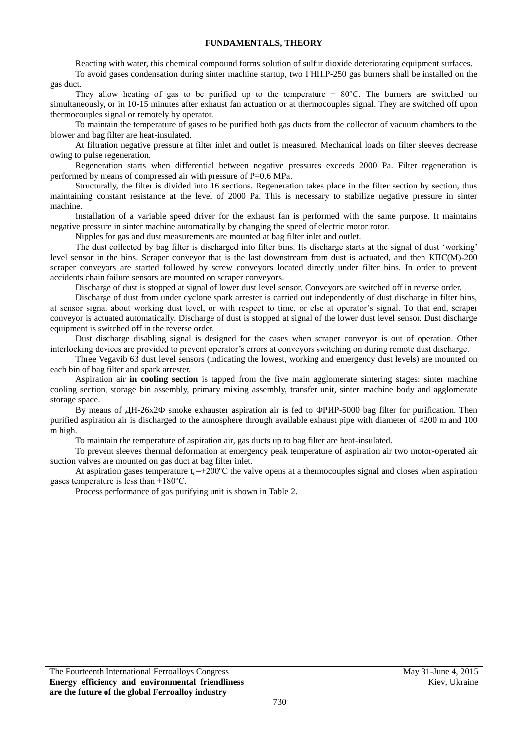Reacting with water, this chemical compound forms solution of sulfur dioxide deteriorating equipment surfaces.

To avoid gases condensation during sinter machine startup, two ГНП.Р-250 gas burners shall be installed on the gas duct.

They allow heating of gas to be purified up to the temperature  $+80^{\circ}$ C. The burners are switched on simultaneously, or in 10-15 minutes after exhaust fan actuation or at thermocouples signal. They are switched off upon thermocouples signal or remotely by operator.

To maintain the temperature of gases to be purified both gas ducts from the collector of vacuum chambers to the blower and bag filter are heat-insulated.

At filtration negative pressure at filter inlet and outlet is measured. Mechanical loads on filter sleeves decrease owing to pulse regeneration.

Regeneration starts when differential between negative pressures exceeds 2000 Pa. Filter regeneration is performed by means of compressed air with pressure of P=0.6 MPa.

Structurally, the filter is divided into 16 sections. Regeneration takes place in the filter section by section, thus maintaining constant resistance at the level of 2000 Pa. This is necessary to stabilize negative pressure in sinter machine.

Installation of a variable speed driver for the exhaust fan is performed with the same purpose. It maintains negative pressure in sinter machine automatically by changing the speed of electric motor rotor.

Nipples for gas and dust measurements are mounted at bag filter inlet and outlet.

The dust collected by bag filter is discharged into filter bins. Its discharge starts at the signal of dust 'working' level sensor in the bins. Scraper conveyor that is the last downstream from dust is actuated, and then КПС(М)-200 scraper conveyors are started followed by screw conveyors located directly under filter bins. In order to prevent accidents chain failure sensors are mounted on scraper conveyors.

Discharge of dust is stopped at signal of lower dust level sensor. Conveyors are switched off in reverse order.

Discharge of dust from under cyclone spark arrester is carried out independently of dust discharge in filter bins, at sensor signal about working dust level, or with respect to time, or else at operator's signal. To that end, scraper conveyor is actuated automatically. Discharge of dust is stopped at signal of the lower dust level sensor. Dust discharge equipment is switched off in the reverse order.

Dust discharge disabling signal is designed for the cases when scraper conveyor is out of operation. Other interlocking devices are provided to prevent operator's errors at conveyors switching on during remote dust discharge.

Three Vegavib 63 dust level sensors (indicating the lowest, working and emergency dust levels) are mounted on each bin of bag filter and spark arrester.

Aspiration air **in cooling section** is tapped from the five main agglomerate sintering stages: sinter machine cooling section, storage bin assembly, primary mixing assembly, transfer unit, sinter machine body and agglomerate storage space.

By means of ДН-26х2Ф smoke exhauster aspiration air is fed to ФРИР-5000 bag filter for purification. Then purified aspiration air is discharged to the atmosphere through available exhaust pipe with diameter of 4200 m and 100 m high.

To maintain the temperature of aspiration air, gas ducts up to bag filter are heat-insulated.

To prevent sleeves thermal deformation at emergency peak temperature of aspiration air two motor-operated air suction valves are mounted on gas duct at bag filter inlet.

At aspiration gases temperature  $t_r = +200$ °C the valve opens at a thermocouples signal and closes when aspiration gases temperature is less than +180ºС.

Process performance of gas purifying unit is shown in Table 2.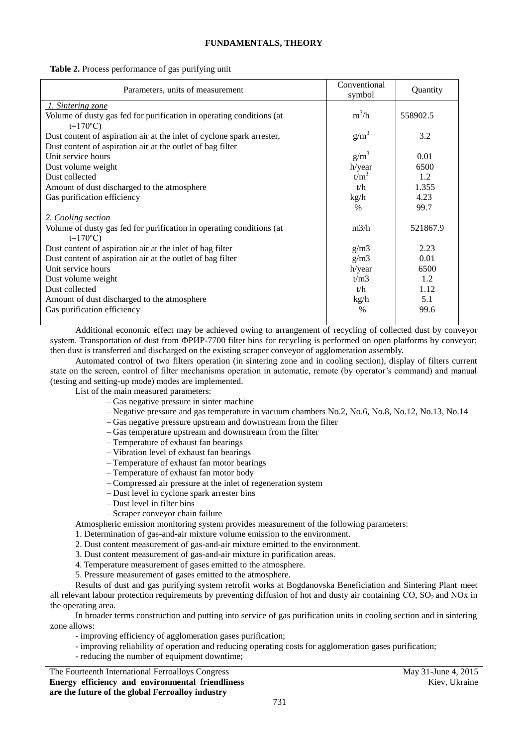### **Table 2.** Process performance of gas purifying unit

| Parameters, units of measurement                                       | Conventional<br>symbol | Quantity |
|------------------------------------------------------------------------|------------------------|----------|
| 1. Sintering zone                                                      |                        |          |
| Volume of dusty gas fed for purification in operating conditions (at   | $m^3/h$                | 558902.5 |
| $t=170^{\circ}C$ )                                                     |                        |          |
| Dust content of aspiration air at the inlet of cyclone spark arrester, | $g/m^3$                | 3.2      |
| Dust content of aspiration air at the outlet of bag filter             |                        |          |
| Unit service hours                                                     | $g/m^3$                | 0.01     |
| Dust volume weight                                                     | h/year                 | 6500     |
| Dust collected                                                         | $t/m^3$                | 1.2      |
| Amount of dust discharged to the atmosphere                            | t/h                    | 1.355    |
| Gas purification efficiency                                            | kg/h                   | 4.23     |
|                                                                        | $\frac{0}{0}$          | 99.7     |
| 2. Cooling section                                                     |                        |          |
| Volume of dusty gas fed for purification in operating conditions (at   | m3/h                   | 521867.9 |
| $t=170^{\circ}C$ )                                                     |                        |          |
| Dust content of aspiration air at the inlet of bag filter              | g/m3                   | 2.23     |
| Dust content of aspiration air at the outlet of bag filter             | g/m3                   | 0.01     |
| Unit service hours                                                     | h/year                 | 6500     |
| Dust volume weight                                                     | t/m3                   | 1.2      |
| Dust collected                                                         | t/h                    | 1.12     |
| Amount of dust discharged to the atmosphere                            | kg/h                   | 5.1      |
| Gas purification efficiency                                            | $\frac{0}{0}$          | 99.6     |
|                                                                        |                        |          |

Additional economic effect may be achieved owing to arrangement of recycling of collected dust by conveyor system. Transportation of dust from  $\Phi$ PHP-7700 filter bins for recycling is performed on open platforms by conveyor; then dust is transferred and discharged on the existing scraper conveyor of agglomeration assembly.

Automated control of two filters operation (in sintering zone and in cooling section), display of filters current state on the screen, control of filter mechanisms operation in automatic, remote (by operator's command) and manual (testing and setting-up mode) modes are implemented.

List of the main measured parameters:

- Gas negative pressure in sinter machine
	- Negative pressure and gas temperature in vacuum chambers No.2, No.6, No.8, No.12, No.13, No.14
	- Gas negative pressure upstream and downstream from the filter
	- Gas temperature upstream and downstream from the filter
	- Temperature of exhaust fan bearings
	- Vibration level of exhaust fan bearings
	- Temperature of exhaust fan motor bearings
	- Temperature of exhaust fan motor body
	- Compressed air pressure at the inlet of regeneration system
- Dust level in cyclone spark arrester bins
- Dust level in filter bins

– Scraper conveyor chain failure

Atmospheric emission monitoring system provides measurement of the following parameters:

- 1. Determination of gas-and-air mixture volume emission to the environment.
- 2. Dust content measurement of gas-and-air mixture emitted to the environment.
- 3. Dust content measurement of gas-and-air mixture in purification areas.
- 4. Temperature measurement of gases emitted to the atmosphere.
- 5. Pressure measurement of gases emitted to the atmosphere.

Results of dust and gas purifying system retrofit works at Bogdanovska Beneficiation and Sintering Plant meet all relevant labour protection requirements by preventing diffusion of hot and dusty air containing  $CO$ ,  $SO<sub>2</sub>$  and NOx in the operating area.

In broader terms construction and putting into service of gas purification units in cooling section and in sintering zone allows:

- improving efficiency of agglomeration gases purification;
- improving reliability of operation and reducing operating costs for agglomeration gases purification;
- reducing the number of equipment downtime;

The Fourteenth International Ferroalloys Congress May 31-June 4, 2015 **Energy efficiency and environmental friendliness are the future of the global Ferroalloy industry**